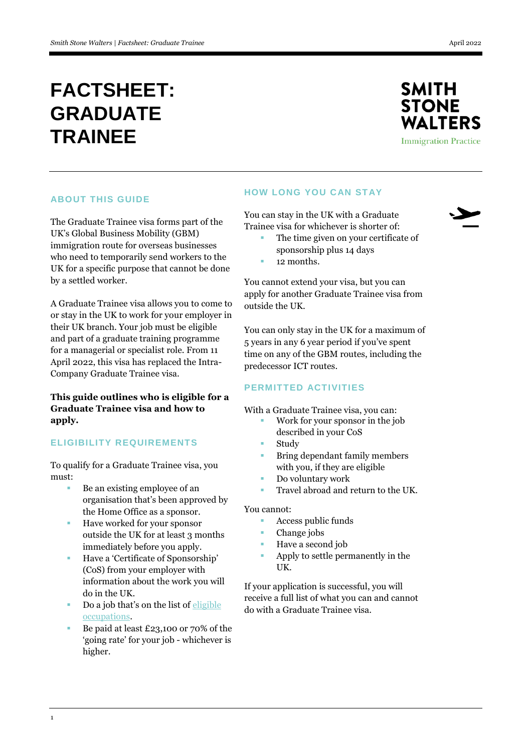# **FACTSHEET: GRADUATE TRAINEE**



# **ABOUT THIS GUIDE**

The Graduate Trainee visa forms part of the UK's Global Business Mobility (GBM) immigration route for overseas businesses who need to temporarily send workers to the UK for a specific purpose that cannot be done by a settled worker.

A Graduate Trainee visa allows you to come to or stay in the UK to work for your employer in their UK branch. Your job must be eligible and part of a graduate training programme for a managerial or specialist role. From 11 April 2022, this visa has replaced the Intra-Company Graduate Trainee visa.

**This guide outlines who is eligible for a Graduate Trainee visa and how to apply.**

## **ELIGIBILITY REQUIREMENTS**

To qualify for a Graduate Trainee visa, you must:

- Be an existing employee of an organisation that's been approved by the Home Office as a sponsor.
- Have worked for your sponsor outside the UK for at least 3 months immediately before you apply.
- Have a 'Certificate of Sponsorship' (CoS) from your employer with information about the work you will do in the UK.
- Do a job that's on the list of  $\frac{eligible}{}$ [occupations.](https://www.gov.uk/government/publications/global-business-mobility-eligible-occupations-and-codes)
- Be paid at least £23,100 or 70% of the 'going rate' for your job - whichever is higher.

# **HOW LONG YOU CAN STAY**

You can stay in the UK with a Graduate Trainee visa for whichever is shorter of:

- The time given on your certificate of sponsorship plus 14 days
- 12 months.

You cannot extend your visa, but you can apply for another Graduate Trainee visa from outside the UK.

You can only stay in the UK for a maximum of 5 years in any 6 year period if you've spent time on any of the GBM routes, including the predecessor ICT routes.

## **PERMITTED ACTIVITIES**

With a Graduate Trainee visa, you can:

- Work for your sponsor in the job described in your CoS
- Study
- Bring dependant family members with you, if they are eligible
- Do voluntary work
- Travel abroad and return to the UK.

You cannot:

- **Access public funds**
- Change jobs
- Have a second job
- Apply to settle permanently in the UK.

If your application is successful, you will receive a full list of what you can and cannot do with a Graduate Trainee visa.